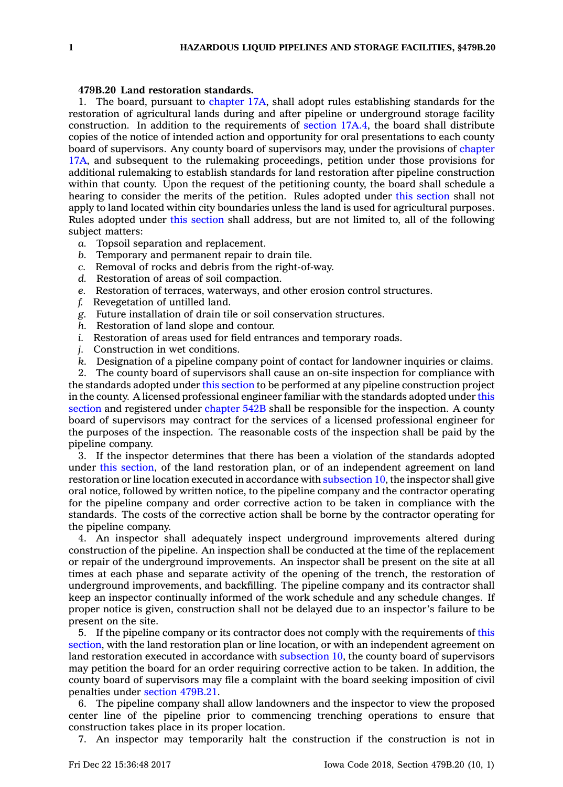## **479B.20 Land restoration standards.**

1. The board, pursuant to [chapter](https://www.legis.iowa.gov/docs/code//17A.pdf) 17A, shall adopt rules establishing standards for the restoration of agricultural lands during and after pipeline or underground storage facility construction. In addition to the requirements of [section](https://www.legis.iowa.gov/docs/code/17A.4.pdf) 17A.4, the board shall distribute copies of the notice of intended action and opportunity for oral presentations to each county board of supervisors. Any county board of supervisors may, under the provisions of [chapter](https://www.legis.iowa.gov/docs/code//17A.pdf) [17A](https://www.legis.iowa.gov/docs/code//17A.pdf), and subsequent to the rulemaking proceedings, petition under those provisions for additional rulemaking to establish standards for land restoration after pipeline construction within that county. Upon the request of the petitioning county, the board shall schedule <sup>a</sup> hearing to consider the merits of the petition. Rules adopted under this [section](https://www.legis.iowa.gov/docs/code/479B.20.pdf) shall not apply to land located within city boundaries unless the land is used for agricultural purposes. Rules adopted under this [section](https://www.legis.iowa.gov/docs/code/479B.20.pdf) shall address, but are not limited to, all of the following subject matters:

- *a.* Topsoil separation and replacement.
- *b.* Temporary and permanent repair to drain tile.
- *c.* Removal of rocks and debris from the right-of-way.
- *d.* Restoration of areas of soil compaction.
- *e.* Restoration of terraces, waterways, and other erosion control structures.
- *f.* Revegetation of untilled land.
- *g.* Future installation of drain tile or soil conservation structures.
- *h.* Restoration of land slope and contour.
- *i.* Restoration of areas used for field entrances and temporary roads.
- *j.* Construction in wet conditions.
- *k.* Designation of <sup>a</sup> pipeline company point of contact for landowner inquiries or claims.

2. The county board of supervisors shall cause an on-site inspection for compliance with the standards adopted under this [section](https://www.legis.iowa.gov/docs/code/479B.20.pdf) to be performed at any pipeline construction project in the county. A licensed professional engineer familiar with the standards adopted under [this](https://www.legis.iowa.gov/docs/code/479B.20.pdf) [section](https://www.legis.iowa.gov/docs/code/479B.20.pdf) and registered under [chapter](https://www.legis.iowa.gov/docs/code//542B.pdf) 542B shall be responsible for the inspection. A county board of supervisors may contract for the services of <sup>a</sup> licensed professional engineer for the purposes of the inspection. The reasonable costs of the inspection shall be paid by the pipeline company.

3. If the inspector determines that there has been <sup>a</sup> violation of the standards adopted under this [section](https://www.legis.iowa.gov/docs/code/479B.20.pdf), of the land restoration plan, or of an independent agreement on land restoration or line location executed in accordance with [subsection](https://www.legis.iowa.gov/docs/code/479B.20.pdf) 10, the inspector shall give oral notice, followed by written notice, to the pipeline company and the contractor operating for the pipeline company and order corrective action to be taken in compliance with the standards. The costs of the corrective action shall be borne by the contractor operating for the pipeline company.

4. An inspector shall adequately inspect underground improvements altered during construction of the pipeline. An inspection shall be conducted at the time of the replacement or repair of the underground improvements. An inspector shall be present on the site at all times at each phase and separate activity of the opening of the trench, the restoration of underground improvements, and backfilling. The pipeline company and its contractor shall keep an inspector continually informed of the work schedule and any schedule changes. If proper notice is given, construction shall not be delayed due to an inspector's failure to be present on the site.

5. If the pipeline company or its contractor does not comply with the requirements of [this](https://www.legis.iowa.gov/docs/code/479B.20.pdf) [section](https://www.legis.iowa.gov/docs/code/479B.20.pdf), with the land restoration plan or line location, or with an independent agreement on land restoration executed in accordance with [subsection](https://www.legis.iowa.gov/docs/code/479B.20.pdf) 10, the county board of supervisors may petition the board for an order requiring corrective action to be taken. In addition, the county board of supervisors may file <sup>a</sup> complaint with the board seeking imposition of civil penalties under section [479B.21](https://www.legis.iowa.gov/docs/code/479B.21.pdf).

6. The pipeline company shall allow landowners and the inspector to view the proposed center line of the pipeline prior to commencing trenching operations to ensure that construction takes place in its proper location.

7. An inspector may temporarily halt the construction if the construction is not in